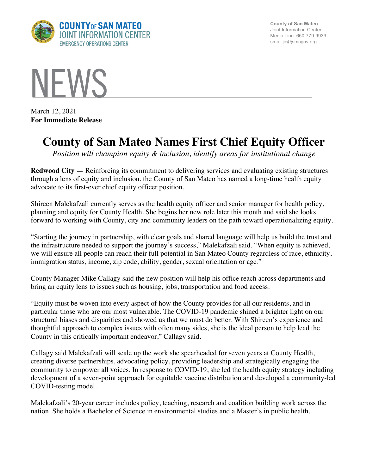

**County of San Mateo** Joint Information Center Media Line: 650-779-9939 smc\_ jic@smcgov.org



March 12, 2021 **For Immediate Release**

## **County of San Mateo Names First Chief Equity Officer**

*Position will champion equity & inclusion, identify areas for institutional change*

**Redwood City —** Reinforcing its commitment to delivering services and evaluating existing structures through a lens of equity and inclusion, the County of San Mateo has named a long-time health equity advocate to its first-ever chief equity officer position.

Shireen Malekafzali currently serves as the health equity officer and senior manager for health policy, planning and equity for County Health. She begins her new role later this month and said she looks forward to working with County, city and community leaders on the path toward operationalizing equity.

"Starting the journey in partnership, with clear goals and shared language will help us build the trust and the infrastructure needed to support the journey's success," Malekafzali said. "When equity is achieved, we will ensure all people can reach their full potential in San Mateo County regardless of race, ethnicity, immigration status, income, zip code, ability, gender, sexual orientation or age."

County Manager Mike Callagy said the new position will help his office reach across departments and bring an equity lens to issues such as housing, jobs, transportation and food access.

"Equity must be woven into every aspect of how the County provides for all our residents, and in particular those who are our most vulnerable. The COVID-19 pandemic shined a brighter light on our structural biases and disparities and showed us that we must do better. With Shireen's experience and thoughtful approach to complex issues with often many sides, she is the ideal person to help lead the County in this critically important endeavor," Callagy said.

Callagy said Malekafzali will scale up the work she spearheaded for seven years at County Health, creating diverse partnerships, advocating policy, providing leadership and strategically engaging the community to empower all voices. In response to COVID-19, she led the health equity strategy including development of a seven-point approach for equitable vaccine distribution and developed a community-led COVID-testing model.

Malekafzali's 20-year career includes policy, teaching, research and coalition building work across the nation. She holds a Bachelor of Science in environmental studies and a Master's in public health.